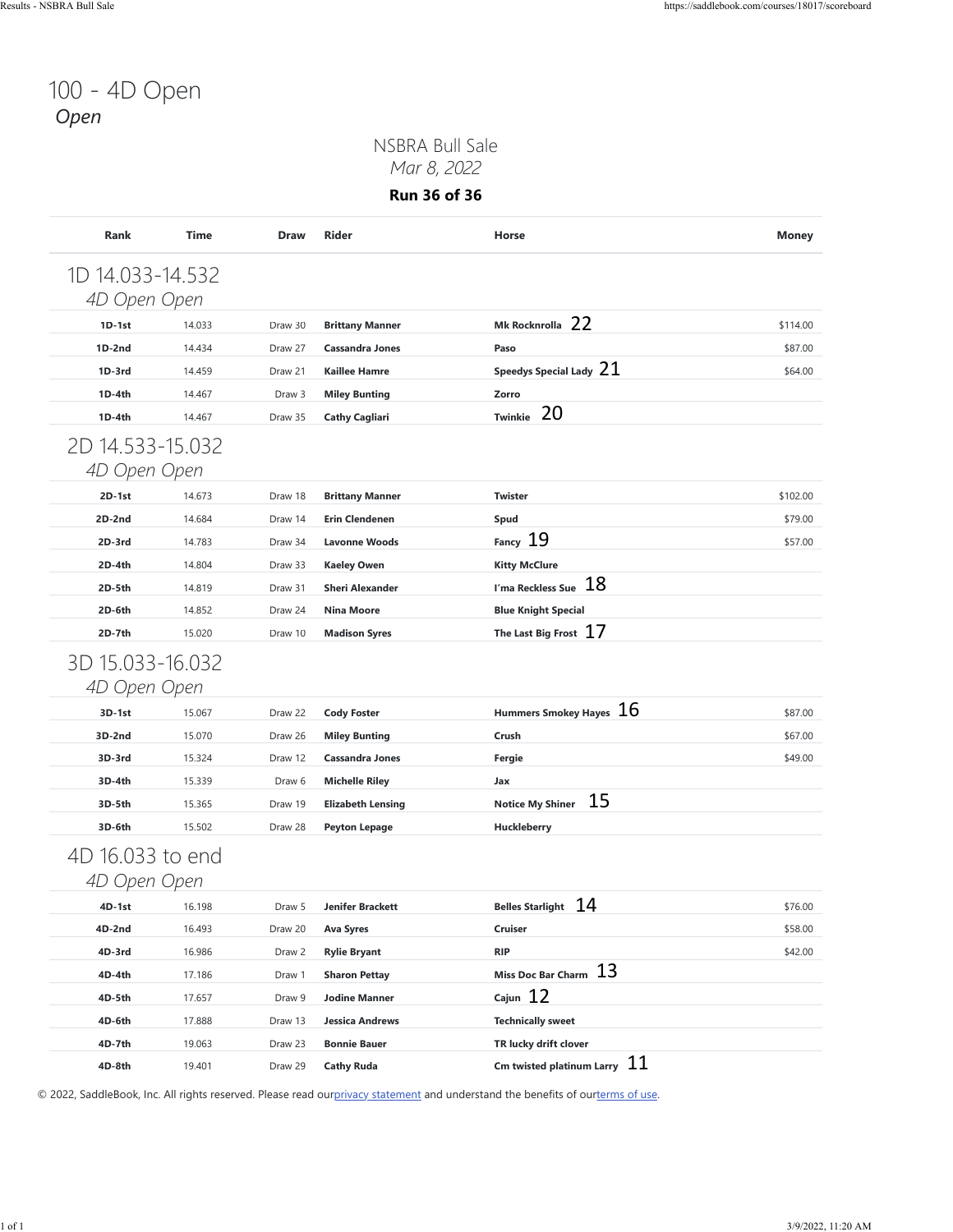## 100 - 4D Open *Open*

#### NSBRA Bull Sale *Mar 8, 2022*

**Run 36 of 36**

| 4D Open Open       |                  |                   |                                              | Mk Rocknrolla 22                                                                                                               |          |
|--------------------|------------------|-------------------|----------------------------------------------|--------------------------------------------------------------------------------------------------------------------------------|----------|
| $1D-1st$           | 14.033           | Draw 30           | <b>Brittany Manner</b>                       |                                                                                                                                | \$114.00 |
| $1D-2nd$           | 14.434           | Draw 27           | <b>Cassandra Jones</b>                       | Paso<br>Speedys Special Lady $21$                                                                                              | \$87.00  |
| $1D-3rd$<br>1D-4th | 14.459<br>14.467 | Draw 21<br>Draw 3 | <b>Kaillee Hamre</b><br><b>Miley Bunting</b> | Zorro                                                                                                                          | \$64.00  |
| 1D-4th             | 14.467           | Draw 35           | <b>Cathy Cagliari</b>                        | 20<br><b>Twinkie</b>                                                                                                           |          |
|                    |                  |                   |                                              |                                                                                                                                |          |
| 2D 14.533-15.032   |                  |                   |                                              |                                                                                                                                |          |
| 4D Open Open       |                  |                   |                                              |                                                                                                                                |          |
| $2D-1st$           | 14.673           | Draw 18           | <b>Brittany Manner</b>                       | <b>Twister</b>                                                                                                                 | \$102.00 |
| 2D-2nd             | 14.684           | Draw 14           | <b>Erin Clendenen</b>                        | Spud                                                                                                                           | \$79.00  |
| 2D-3rd             | 14.783           | Draw 34           | <b>Lavonne Woods</b>                         | Fancy 19                                                                                                                       | \$57.00  |
| 2D-4th             | 14.804           | Draw 33           | <b>Kaeley Owen</b>                           | <b>Kitty McClure</b><br>I'ma Reckless Sue $18$                                                                                 |          |
| 2D-5th             | 14.819           | Draw 31           | <b>Sheri Alexander</b>                       |                                                                                                                                |          |
| 2D-6th             | 14.852           | Draw 24           | <b>Nina Moore</b>                            | <b>Blue Knight Special</b><br>The Last Big Frost $17$                                                                          |          |
| 2D-7th             | 15.020           | Draw 10           | <b>Madison Syres</b>                         |                                                                                                                                |          |
| 3D 15.033-16.032   |                  |                   |                                              |                                                                                                                                |          |
| 4D Open Open       |                  |                   |                                              |                                                                                                                                |          |
| 3D-1st             | 15.067           | Draw 22           | <b>Cody Foster</b>                           | Hummers Smokey Hayes $16$                                                                                                      | \$87.00  |
| 3D-2nd             | 15.070           | Draw 26           | <b>Miley Bunting</b>                         | Crush                                                                                                                          | \$67.00  |
| 3D-3rd             | 15.324           | Draw 12           | <b>Cassandra Jones</b>                       | Fergie                                                                                                                         | \$49.00  |
| 3D-4th             | 15.339           | Draw 6            | <b>Michelle Riley</b>                        | Jax                                                                                                                            |          |
| 3D-5th             | 15.365           | Draw 19           | <b>Elizabeth Lensing</b>                     | 15<br><b>Notice My Shiner</b>                                                                                                  |          |
| 3D-6th             | 15.502           | Draw 28           | <b>Peyton Lepage</b>                         | Huckleberry                                                                                                                    |          |
| 4D 16.033 to end   |                  |                   |                                              |                                                                                                                                |          |
| 4D Open Open       |                  |                   |                                              |                                                                                                                                |          |
| 4D-1st             | 16.198           | Draw 5            | <b>Jenifer Brackett</b>                      | 14<br><b>Belles Starlight</b>                                                                                                  | \$76.00  |
| 4D-2nd             | 16.493           | Draw 20           | <b>Ava Syres</b>                             | Cruiser                                                                                                                        | \$58.00  |
| 4D-3rd             | 16.986           | Draw 2            | <b>Rylie Bryant</b>                          | <b>RIP</b>                                                                                                                     | \$42.00  |
| 4D-4th             | 17.186           | Draw 1            | <b>Sharon Pettay</b>                         | Miss Doc Bar Charm 13                                                                                                          |          |
| 4D-5th             | 17.657           | Draw 9            | <b>Jodine Manner</b>                         | Cajun $12$                                                                                                                     |          |
| 4D-6th             | 17.888           | Draw 13           | <b>Jessica Andrews</b>                       | <b>Technically sweet</b>                                                                                                       |          |
| 4D-7th             | 19.063           | Draw 23           | <b>Bonnie Bauer</b>                          | TR lucky drift clover                                                                                                          |          |
| 4D-8th             | 19.401           | Draw 29           | <b>Cathy Ruda</b>                            | Cm twisted platinum Larry $11$                                                                                                 |          |
|                    |                  |                   |                                              | © 2022, SaddleBook, Inc. All rights reserved. Please read ourprivacy statement and understand the benefits of ourterms of use. |          |
|                    |                  |                   |                                              |                                                                                                                                |          |
|                    |                  |                   |                                              |                                                                                                                                |          |